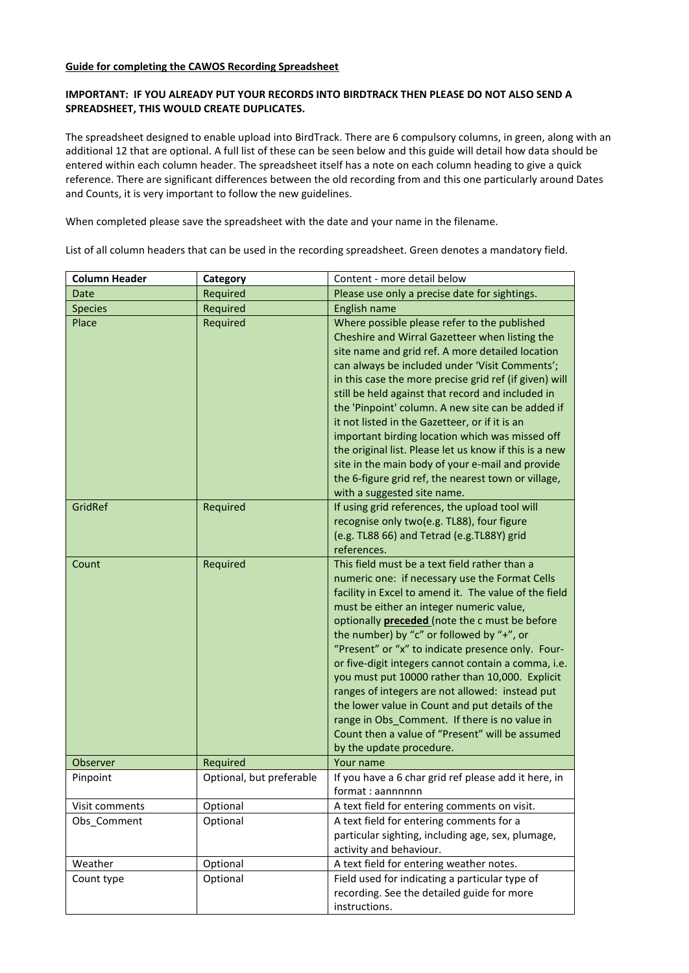### **Guide for completing the CAWOS Recording Spreadsheet**

## **IMPORTANT: IF YOU ALREADY PUT YOUR RECORDS INTO BIRDTRACK THEN PLEASE DO NOT ALSO SEND A SPREADSHEET, THIS WOULD CREATE DUPLICATES.**

The spreadsheet designed to enable upload into BirdTrack. There are 6 compulsory columns, in green, along with an additional 12 that are optional. A full list of these can be seen below and this guide will detail how data should be entered within each column header. The spreadsheet itself has a note on each column heading to give a quick reference. There are significant differences between the old recording from and this one particularly around Dates and Counts, it is very important to follow the new guidelines.

When completed please save the spreadsheet with the date and your name in the filename.

List of all column headers that can be used in the recording spreadsheet. Green denotes a mandatory field.

| <b>Column Header</b> | Category                 | Content - more detail below                                                                                                                                                                                                                                                                                                                                                                                                                                                                                                                                                                                                                                                                                     |  |  |
|----------------------|--------------------------|-----------------------------------------------------------------------------------------------------------------------------------------------------------------------------------------------------------------------------------------------------------------------------------------------------------------------------------------------------------------------------------------------------------------------------------------------------------------------------------------------------------------------------------------------------------------------------------------------------------------------------------------------------------------------------------------------------------------|--|--|
| Date                 | Required                 | Please use only a precise date for sightings.                                                                                                                                                                                                                                                                                                                                                                                                                                                                                                                                                                                                                                                                   |  |  |
| <b>Species</b>       | Required                 | English name                                                                                                                                                                                                                                                                                                                                                                                                                                                                                                                                                                                                                                                                                                    |  |  |
| Place                | Required                 | Where possible please refer to the published<br>Cheshire and Wirral Gazetteer when listing the<br>site name and grid ref. A more detailed location<br>can always be included under 'Visit Comments';<br>in this case the more precise grid ref (if given) will<br>still be held against that record and included in<br>the 'Pinpoint' column. A new site can be added if<br>it not listed in the Gazetteer, or if it is an<br>important birding location which was missed off<br>the original list. Please let us know if this is a new<br>site in the main body of your e-mail and provide<br>the 6-figure grid ref, the nearest town or village,                                                              |  |  |
| GridRef              | Required                 | with a suggested site name.<br>If using grid references, the upload tool will<br>recognise only two(e.g. TL88), four figure<br>(e.g. TL88 66) and Tetrad (e.g.TL88Y) grid<br>references.                                                                                                                                                                                                                                                                                                                                                                                                                                                                                                                        |  |  |
| Count                | Required                 | This field must be a text field rather than a<br>numeric one: if necessary use the Format Cells<br>facility in Excel to amend it. The value of the field<br>must be either an integer numeric value,<br>optionally <b>preceded</b> (note the c must be before<br>the number) by "c" or followed by "+", or<br>"Present" or "x" to indicate presence only. Four-<br>or five-digit integers cannot contain a comma, i.e.<br>you must put 10000 rather than 10,000. Explicit<br>ranges of integers are not allowed: instead put<br>the lower value in Count and put details of the<br>range in Obs_Comment. If there is no value in<br>Count then a value of "Present" will be assumed<br>by the update procedure. |  |  |
| Observer             | Required                 | Your name                                                                                                                                                                                                                                                                                                                                                                                                                                                                                                                                                                                                                                                                                                       |  |  |
| Pinpoint             | Optional, but preferable | If you have a 6 char grid ref please add it here, in<br>format: aannnnnn                                                                                                                                                                                                                                                                                                                                                                                                                                                                                                                                                                                                                                        |  |  |
| Visit comments       | Optional                 | A text field for entering comments on visit.                                                                                                                                                                                                                                                                                                                                                                                                                                                                                                                                                                                                                                                                    |  |  |
| Obs_Comment          | Optional                 | A text field for entering comments for a<br>particular sighting, including age, sex, plumage,<br>activity and behaviour.                                                                                                                                                                                                                                                                                                                                                                                                                                                                                                                                                                                        |  |  |
| Weather              | Optional                 | A text field for entering weather notes.                                                                                                                                                                                                                                                                                                                                                                                                                                                                                                                                                                                                                                                                        |  |  |
| Count type           | Optional                 | Field used for indicating a particular type of<br>recording. See the detailed guide for more<br>instructions.                                                                                                                                                                                                                                                                                                                                                                                                                                                                                                                                                                                                   |  |  |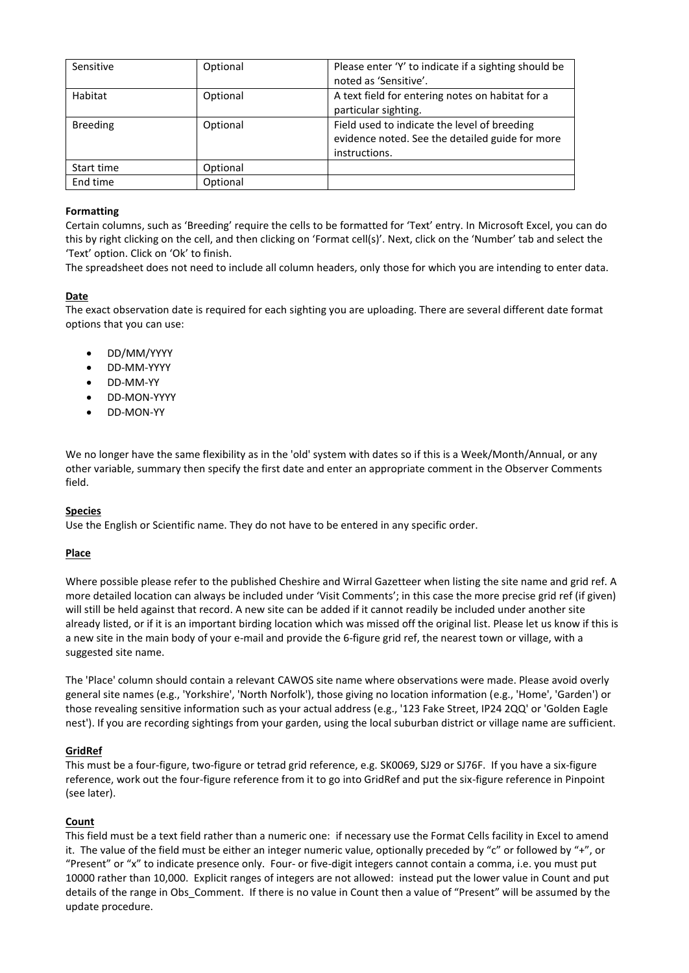| Sensitive       | Optional | Please enter 'Y' to indicate if a sighting should be<br>noted as 'Sensitive'.                                    |
|-----------------|----------|------------------------------------------------------------------------------------------------------------------|
| Habitat         | Optional | A text field for entering notes on habitat for a<br>particular sighting.                                         |
| <b>Breeding</b> | Optional | Field used to indicate the level of breeding<br>evidence noted. See the detailed guide for more<br>instructions. |
| Start time      | Optional |                                                                                                                  |
| End time        | Optional |                                                                                                                  |

## **Formatting**

Certain columns, such as 'Breeding' require the cells to be formatted for 'Text' entry. In Microsoft Excel, you can do this by right clicking on the cell, and then clicking on 'Format cell(s)'. Next, click on the 'Number' tab and select the 'Text' option. Click on 'Ok' to finish.

The spreadsheet does not need to include all column headers, only those for which you are intending to enter data.

## **Date**

The exact observation date is required for each sighting you are uploading. There are several different date format options that you can use:

- DD/MM/YYYY
- DD-MM-YYYY
- DD-MM-YY
- DD-MON-YYYY
- DD-MON-YY

We no longer have the same flexibility as in the 'old' system with dates so if this is a Week/Month/Annual, or any other variable, summary then specify the first date and enter an appropriate comment in the Observer Comments field.

### **Species**

Use the English or Scientific name. They do not have to be entered in any specific order.

### **Place**

Where possible please refer to the published Cheshire and Wirral Gazetteer when listing the site name and grid ref. A more detailed location can always be included under 'Visit Comments'; in this case the more precise grid ref (if given) will still be held against that record. A new site can be added if it cannot readily be included under another site already listed, or if it is an important birding location which was missed off the original list. Please let us know if this is a new site in the main body of your e-mail and provide the 6-figure grid ref, the nearest town or village, with a suggested site name.

The 'Place' column should contain a relevant CAWOS site name where observations were made. Please avoid overly general site names (e.g., 'Yorkshire', 'North Norfolk'), those giving no location information (e.g., 'Home', 'Garden') or those revealing sensitive information such as your actual address (e.g., '123 Fake Street, IP24 2QQ' or 'Golden Eagle nest'). If you are recording sightings from your garden, using the local suburban district or village name are sufficient.

### **GridRef**

This must be a four-figure, two-figure or tetrad grid reference, e.g. SK0069, SJ29 or SJ76F. If you have a six-figure reference, work out the four-figure reference from it to go into GridRef and put the six-figure reference in Pinpoint (see later).

# **Count**

This field must be a text field rather than a numeric one: if necessary use the Format Cells facility in Excel to amend it. The value of the field must be either an integer numeric value, optionally preceded by "c" or followed by "+", or "Present" or "x" to indicate presence only. Four- or five-digit integers cannot contain a comma, i.e. you must put 10000 rather than 10,000. Explicit ranges of integers are not allowed: instead put the lower value in Count and put details of the range in Obs Comment. If there is no value in Count then a value of "Present" will be assumed by the update procedure.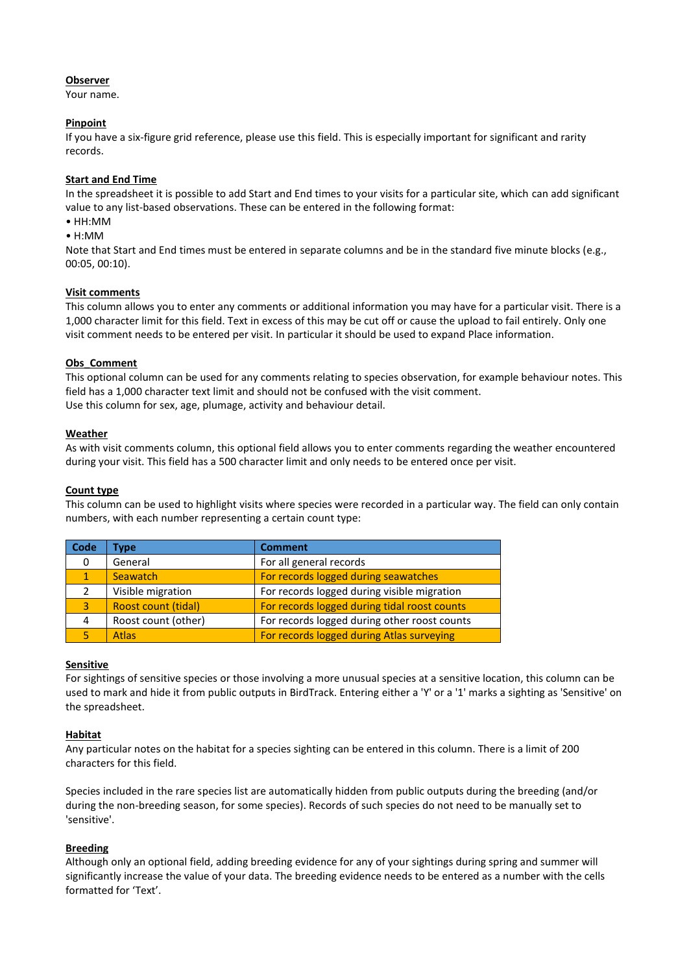## **Observer**

Your name.

## **Pinpoint**

If you have a six-figure grid reference, please use this field. This is especially important for significant and rarity records.

## **Start and End Time**

In the spreadsheet it is possible to add Start and End times to your visits for a particular site, which can add significant value to any list-based observations. These can be entered in the following format:

- HH:MM
- H:MM

Note that Start and End times must be entered in separate columns and be in the standard five minute blocks (e.g., 00:05, 00:10).

## **Visit comments**

This column allows you to enter any comments or additional information you may have for a particular visit. There is a 1,000 character limit for this field. Text in excess of this may be cut off or cause the upload to fail entirely. Only one visit comment needs to be entered per visit. In particular it should be used to expand Place information.

## **Obs\_Comment**

This optional column can be used for any comments relating to species observation, for example behaviour notes. This field has a 1,000 character text limit and should not be confused with the visit comment. Use this column for sex, age, plumage, activity and behaviour detail.

## **Weather**

As with visit comments column, this optional field allows you to enter comments regarding the weather encountered during your visit. This field has a 500 character limit and only needs to be entered once per visit.

### **Count type**

This column can be used to highlight visits where species were recorded in a particular way. The field can only contain numbers, with each number representing a certain count type:

| Code | <b>Type</b>         | <b>Comment</b>                               |
|------|---------------------|----------------------------------------------|
| 0    | General             | For all general records                      |
| 1.   | <b>Seawatch</b>     | For records logged during seawatches         |
|      | Visible migration   | For records logged during visible migration  |
| 3    | Roost count (tidal) | For records logged during tidal roost counts |
| 4    | Roost count (other) | For records logged during other roost counts |
|      | <b>Atlas</b>        | For records logged during Atlas surveying    |

### **Sensitive**

For sightings of sensitive species or those involving a more unusual species at a sensitive location, this column can be used to mark and hide it from public outputs in BirdTrack. Entering either a 'Y' or a '1' marks a sighting as 'Sensitive' on the spreadsheet.

### **Habitat**

Any particular notes on the habitat for a species sighting can be entered in this column. There is a limit of 200 characters for this field.

Species included in the rare species list are automatically hidden from public outputs during the breeding (and/or during the non-breeding season, for some species). Records of such species do not need to be manually set to 'sensitive'.

# **Breeding**

Although only an optional field, adding breeding evidence for any of your sightings during spring and summer will significantly increase the value of your data. The breeding evidence needs to be entered as a number with the cells formatted for 'Text'.